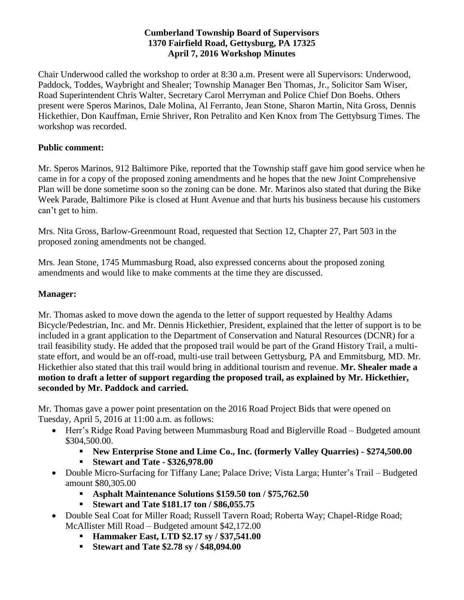## **Cumberland Township Board of Supervisors 1370 Fairfield Road, Gettysburg, PA 17325 April 7, 2016 Workshop Minutes**

Chair Underwood called the workshop to order at 8:30 a.m. Present were all Supervisors: Underwood, Paddock, Toddes, Waybright and Shealer; Township Manager Ben Thomas, Jr., Solicitor Sam Wiser, Road Superintendent Chris Walter, Secretary Carol Merryman and Police Chief Don Boehs. Others present were Speros Marinos, Dale Molina, Al Ferranto, Jean Stone, Sharon Martin, Nita Gross, Dennis Hickethier, Don Kauffman, Ernie Shriver, Ron Petralito and Ken Knox from The Gettybsurg Times. The workshop was recorded.

## **Public comment:**

Mr. Speros Marinos, 912 Baltimore Pike, reported that the Township staff gave him good service when he came in for a copy of the proposed zoning amendments and he hopes that the new Joint Comprehensive Plan will be done sometime soon so the zoning can be done. Mr. Marinos also stated that during the Bike Week Parade, Baltimore Pike is closed at Hunt Avenue and that hurts his business because his customers can't get to him.

Mrs. Nita Gross, Barlow-Greenmount Road, requested that Section 12, Chapter 27, Part 503 in the proposed zoning amendments not be changed.

Mrs. Jean Stone, 1745 Mummasburg Road, also expressed concerns about the proposed zoning amendments and would like to make comments at the time they are discussed.

## **Manager:**

Mr. Thomas asked to move down the agenda to the letter of support requested by Healthy Adams Bicycle/Pedestrian, Inc. and Mr. Dennis Hickethier, President, explained that the letter of support is to be included in a grant application to the Department of Conservation and Natural Resources (DCNR) for a trail feasibility study. He added that the proposed trail would be part of the Grand History Trail, a multistate effort, and would be an off-road, multi-use trail between Gettysburg, PA and Emmitsburg, MD. Mr. Hickethier also stated that this trail would bring in additional tourism and revenue. **Mr. Shealer made a motion to draft a letter of support regarding the proposed trail, as explained by Mr. Hickethier, seconded by Mr. Paddock and carried.** 

Mr. Thomas gave a power point presentation on the 2016 Road Project Bids that were opened on Tuesday, April 5, 2016 at 11:00 a.m. as follows:

- Herr's Ridge Road Paving between Mummasburg Road and Biglerville Road Budgeted amount \$304,500.00.
	- **New Enterprise Stone and Lime Co., Inc. (formerly Valley Quarries) - \$274,500.00**
	- **Stewart and Tate - \$326,978.00**
- Double Micro-Surfacing for Tiffany Lane; Palace Drive; Vista Larga; Hunter's Trail Budgeted amount \$80,305.00
	- **Asphalt Maintenance Solutions \$159.50 ton / \$75,762.50**
	- **Stewart and Tate \$181.17 ton / \$86,055.75**
- Double Seal Coat for Miller Road; Russell Tavern Road; Roberta Way; Chapel-Ridge Road; McAllister Mill Road – Budgeted amount \$42,172.00
	- **Hammaker East, LTD \$2.17 sy / \$37,541.00**
	- **Stewart and Tate \$2.78 sy / \$48,094.00**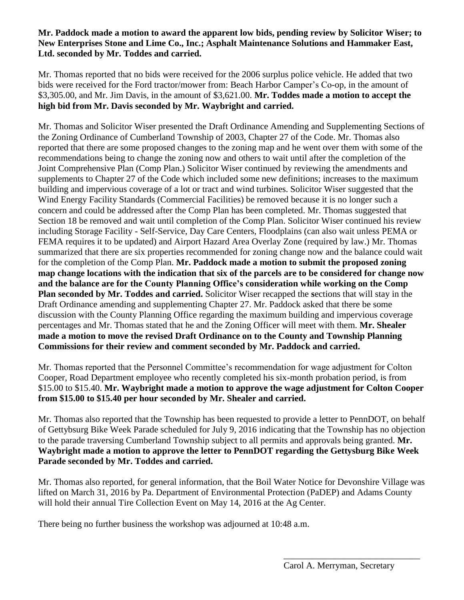## **Mr. Paddock made a motion to award the apparent low bids, pending review by Solicitor Wiser; to New Enterprises Stone and Lime Co., Inc.; Asphalt Maintenance Solutions and Hammaker East, Ltd. seconded by Mr. Toddes and carried.**

Mr. Thomas reported that no bids were received for the 2006 surplus police vehicle. He added that two bids were received for the Ford tractor/mower from: Beach Harbor Camper's Co-op, in the amount of \$3,305.00, and Mr. Jim Davis, in the amount of \$3,621.00. **Mr. Toddes made a motion to accept the high bid from Mr. Davis seconded by Mr. Waybright and carried.**

Mr. Thomas and Solicitor Wiser presented the Draft Ordinance Amending and Supplementing Sections of the Zoning Ordinance of Cumberland Township of 2003, Chapter 27 of the Code. Mr. Thomas also reported that there are some proposed changes to the zoning map and he went over them with some of the recommendations being to change the zoning now and others to wait until after the completion of the Joint Comprehensive Plan (Comp Plan.) Solicitor Wiser continued by reviewing the amendments and supplements to Chapter 27 of the Code which included some new definitions; increases to the maximum building and impervious coverage of a lot or tract and wind turbines. Solicitor Wiser suggested that the Wind Energy Facility Standards (Commercial Facilities) be removed because it is no longer such a concern and could be addressed after the Comp Plan has been completed. Mr. Thomas suggested that Section 18 be removed and wait until completion of the Comp Plan. Solicitor Wiser continued his review including Storage Facility - Self-Service, Day Care Centers, Floodplains (can also wait unless PEMA or FEMA requires it to be updated) and Airport Hazard Area Overlay Zone (required by law.) Mr. Thomas summarized that there are six properties recommended for zoning change now and the balance could wait for the completion of the Comp Plan. **Mr. Paddock made a motion to submit the proposed zoning map change locations with the indication that six of the parcels are to be considered for change now and the balance are for the County Planning Office's consideration while working on the Comp Plan seconded by Mr. Toddes and carried.** Solicitor Wiser recapped the **s**ections that will stay in the Draft Ordinance amending and supplementing Chapter 27. Mr. Paddock asked that there be some discussion with the County Planning Office regarding the maximum building and impervious coverage percentages and Mr. Thomas stated that he and the Zoning Officer will meet with them. **Mr. Shealer made a motion to move the revised Draft Ordinance on to the County and Township Planning Commissions for their review and comment seconded by Mr. Paddock and carried.**

Mr. Thomas reported that the Personnel Committee's recommendation for wage adjustment for Colton Cooper, Road Department employee who recently completed his six-month probation period, is from \$15.00 to \$15.40. **Mr. Waybright made a motion to approve the wage adjustment for Colton Cooper from \$15.00 to \$15.40 per hour seconded by Mr. Shealer and carried.** 

Mr. Thomas also reported that the Township has been requested to provide a letter to PennDOT, on behalf of Gettybsurg Bike Week Parade scheduled for July 9, 2016 indicating that the Township has no objection to the parade traversing Cumberland Township subject to all permits and approvals being granted. **Mr. Waybright made a motion to approve the letter to PennDOT regarding the Gettysburg Bike Week Parade seconded by Mr. Toddes and carried.**

Mr. Thomas also reported, for general information, that the Boil Water Notice for Devonshire Village was lifted on March 31, 2016 by Pa. Department of Environmental Protection (PaDEP) and Adams County will hold their annual Tire Collection Event on May 14, 2016 at the Ag Center.

There being no further business the workshop was adjourned at 10:48 a.m.

\_\_\_\_\_\_\_\_\_\_\_\_\_\_\_\_\_\_\_\_\_\_\_\_\_\_\_\_\_\_